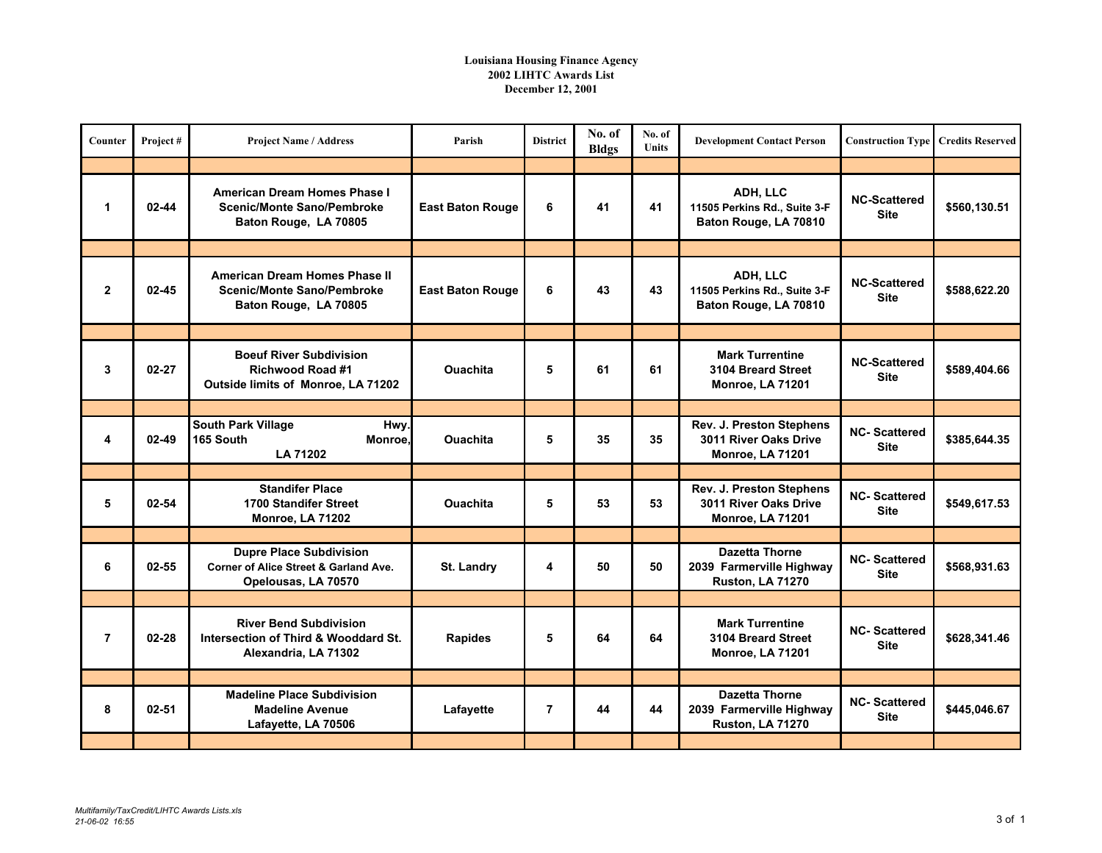## **Louisiana Housing Finance Agency 2002 LIHTC Awards List December 12, 2001**

| Counter        | Project#  | <b>Project Name / Address</b>                                                                             | Parish                  | <b>District</b> | No. of<br><b>Bldgs</b> | No. of<br><b>Units</b> | <b>Development Contact Person</b>                                            | <b>Construction Type</b>           | <b>Credits Reserved</b> |
|----------------|-----------|-----------------------------------------------------------------------------------------------------------|-------------------------|-----------------|------------------------|------------------------|------------------------------------------------------------------------------|------------------------------------|-------------------------|
|                |           |                                                                                                           |                         |                 |                        |                        |                                                                              |                                    |                         |
| 1              | $02 - 44$ | <b>American Dream Homes Phase I</b><br><b>Scenic/Monte Sano/Pembroke</b><br>Baton Rouge, LA 70805         | <b>East Baton Rouge</b> | 6               | 41                     | 41                     | ADH, LLC<br>11505 Perkins Rd., Suite 3-F<br>Baton Rouge, LA 70810            | <b>NC-Scattered</b><br><b>Site</b> | \$560,130.51            |
|                |           |                                                                                                           |                         |                 |                        |                        |                                                                              |                                    |                         |
| $\overline{2}$ | $02 - 45$ | <b>American Dream Homes Phase II</b><br><b>Scenic/Monte Sano/Pembroke</b><br>Baton Rouge, LA 70805        | <b>East Baton Rouge</b> | 6               | 43                     | 43                     | ADH, LLC<br>11505 Perkins Rd., Suite 3-F<br>Baton Rouge, LA 70810            | <b>NC-Scattered</b><br>Site        | \$588,622.20            |
|                |           |                                                                                                           |                         |                 |                        |                        |                                                                              |                                    |                         |
| 3              | $02 - 27$ | <b>Boeuf River Subdivision</b><br>Richwood Road #1<br>Outside limits of Monroe, LA 71202                  | <b>Ouachita</b>         | 5               | 61                     | 61                     | <b>Mark Turrentine</b><br>3104 Breard Street<br>Monroe, LA 71201             | <b>NC-Scattered</b><br><b>Site</b> | \$589,404.66            |
|                |           |                                                                                                           |                         |                 |                        |                        |                                                                              |                                    |                         |
| 4              | $02 - 49$ | <b>South Park Village</b><br>Hwy.<br>165 South<br>Monroe,<br><b>LA 71202</b>                              | <b>Ouachita</b>         | 5               | 35                     | 35                     | Rev. J. Preston Stephens<br>3011 River Oaks Drive<br>Monroe, LA 71201        | <b>NC-Scattered</b><br><b>Site</b> | \$385,644.35            |
|                |           |                                                                                                           |                         |                 |                        |                        |                                                                              |                                    |                         |
| 5              | 02-54     | <b>Standifer Place</b><br><b>1700 Standifer Street</b><br><b>Monroe, LA 71202</b>                         | <b>Ouachita</b>         | 5               | 53                     | 53                     | Rev. J. Preston Stephens<br>3011 River Oaks Drive<br>Monroe, LA 71201        | <b>NC-Scattered</b><br><b>Site</b> | \$549,617.53            |
|                |           |                                                                                                           |                         |                 |                        |                        |                                                                              |                                    |                         |
| 6              | $02 - 55$ | <b>Dupre Place Subdivision</b><br><b>Corner of Alice Street &amp; Garland Ave.</b><br>Opelousas, LA 70570 | St. Landry              | 4               | 50                     | 50                     | <b>Dazetta Thorne</b><br>2039 Farmerville Highway<br>Ruston, LA 71270        | <b>NC-Scattered</b><br><b>Site</b> | \$568,931.63            |
|                |           |                                                                                                           |                         |                 |                        |                        |                                                                              |                                    |                         |
| $\overline{7}$ | $02 - 28$ | <b>River Bend Subdivision</b><br>Intersection of Third & Wooddard St.<br>Alexandria, LA 71302             | <b>Rapides</b>          | 5               | 64                     | 64                     | <b>Mark Turrentine</b><br>3104 Breard Street<br>Monroe, LA 71201             | <b>NC-Scattered</b><br><b>Site</b> | \$628,341.46            |
|                |           |                                                                                                           |                         |                 |                        |                        |                                                                              |                                    |                         |
| 8              | $02 - 51$ | <b>Madeline Place Subdivision</b><br><b>Madeline Avenue</b><br>Lafayette, LA 70506                        | Lafayette               | $\overline{7}$  | 44                     | 44                     | <b>Dazetta Thorne</b><br>2039 Farmerville Highway<br><b>Ruston, LA 71270</b> | <b>NC-Scattered</b><br><b>Site</b> | \$445,046.67            |
|                |           |                                                                                                           |                         |                 |                        |                        |                                                                              |                                    |                         |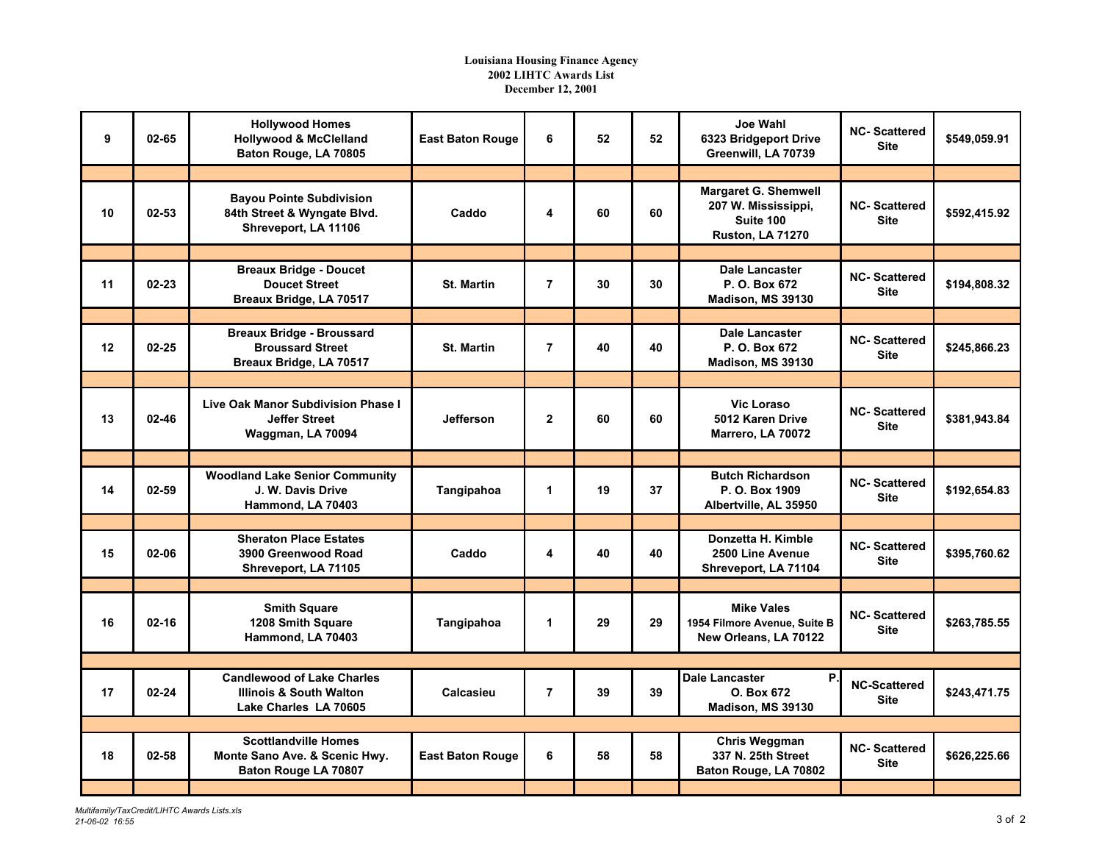## **Louisiana Housing Finance Agency 2002 LIHTC Awards List December 12, 2001**

| 9  | 02-65     | <b>Hollywood Homes</b><br><b>Hollywood &amp; McClelland</b><br>Baton Rouge, LA 70805             | <b>East Baton Rouge</b> | 6              | 52 | 52 | Joe Wahl<br>6323 Bridgeport Drive<br>Greenwill, LA 70739                                   | <b>NC-Scattered</b><br><b>Site</b> | \$549,059.91 |
|----|-----------|--------------------------------------------------------------------------------------------------|-------------------------|----------------|----|----|--------------------------------------------------------------------------------------------|------------------------------------|--------------|
|    |           |                                                                                                  |                         |                |    |    |                                                                                            |                                    |              |
| 10 | $02 - 53$ | <b>Bayou Pointe Subdivision</b><br>84th Street & Wyngate Blvd.<br>Shreveport, LA 11106           | Caddo                   | 4              | 60 | 60 | <b>Margaret G. Shemwell</b><br>207 W. Mississippi,<br>Suite 100<br><b>Ruston, LA 71270</b> | <b>NC-Scattered</b><br><b>Site</b> | \$592,415.92 |
|    |           |                                                                                                  |                         |                |    |    |                                                                                            |                                    |              |
| 11 | $02 - 23$ | <b>Breaux Bridge - Doucet</b><br><b>Doucet Street</b><br>Breaux Bridge, LA 70517                 | <b>St. Martin</b>       | $\overline{7}$ | 30 | 30 | <b>Dale Lancaster</b><br>P. O. Box 672<br>Madison, MS 39130                                | <b>NC-Scattered</b><br><b>Site</b> | \$194,808.32 |
|    |           |                                                                                                  |                         |                |    |    |                                                                                            |                                    |              |
| 12 | $02 - 25$ | <b>Breaux Bridge - Broussard</b><br><b>Broussard Street</b><br>Breaux Bridge, LA 70517           | <b>St. Martin</b>       | $\overline{7}$ | 40 | 40 | <b>Dale Lancaster</b><br>P. O. Box 672<br>Madison, MS 39130                                | <b>NC-Scattered</b><br><b>Site</b> | \$245.866.23 |
|    |           |                                                                                                  |                         |                |    |    |                                                                                            |                                    |              |
| 13 | 02-46     | Live Oak Manor Subdivision Phase I<br><b>Jeffer Street</b><br>Waggman, LA 70094                  | <b>Jefferson</b>        | $\mathbf{2}$   | 60 | 60 | <b>Vic Loraso</b><br>5012 Karen Drive<br>Marrero, LA 70072                                 | <b>NC-Scattered</b><br><b>Site</b> | \$381,943.84 |
|    |           |                                                                                                  |                         |                |    |    |                                                                                            |                                    |              |
| 14 | 02-59     | <b>Woodland Lake Senior Community</b><br>J. W. Davis Drive<br>Hammond, LA 70403                  | Tangipahoa              | 1              | 19 | 37 | <b>Butch Richardson</b><br>P. O. Box 1909<br>Albertville, AL 35950                         | <b>NC-Scattered</b><br><b>Site</b> | \$192,654.83 |
|    |           |                                                                                                  |                         |                |    |    |                                                                                            |                                    |              |
| 15 | 02-06     | <b>Sheraton Place Estates</b><br>3900 Greenwood Road<br>Shreveport, LA 71105                     | Caddo                   | 4              | 40 | 40 | Donzetta H. Kimble<br>2500 Line Avenue<br>Shreveport, LA 71104                             | <b>NC-Scattered</b><br><b>Site</b> | \$395,760.62 |
|    |           |                                                                                                  |                         |                |    |    |                                                                                            |                                    |              |
| 16 | $02 - 16$ | <b>Smith Square</b><br>1208 Smith Square<br>Hammond, LA 70403                                    | Tangipahoa              | 1              | 29 | 29 | <b>Mike Vales</b><br>1954 Filmore Avenue, Suite B<br>New Orleans, LA 70122                 | <b>NC-Scattered</b><br><b>Site</b> | \$263,785.55 |
|    |           |                                                                                                  |                         |                |    |    |                                                                                            |                                    |              |
| 17 | $02 - 24$ | <b>Candlewood of Lake Charles</b><br><b>Illinois &amp; South Walton</b><br>Lake Charles LA 70605 | Calcasieu               | $\overline{7}$ | 39 | 39 | Dale Lancaster<br>P.<br>O. Box 672<br>Madison, MS 39130                                    | <b>NC-Scattered</b><br><b>Site</b> | \$243,471.75 |
|    |           |                                                                                                  |                         |                |    |    |                                                                                            |                                    |              |
| 18 | $02 - 58$ | <b>Scottlandville Homes</b><br>Monte Sano Ave. & Scenic Hwy.<br>Baton Rouge LA 70807             | <b>East Baton Rouge</b> | 6              | 58 | 58 | <b>Chris Weggman</b><br>337 N. 25th Street<br>Baton Rouge, LA 70802                        | <b>NC-Scattered</b><br><b>Site</b> | \$626,225.66 |
|    |           |                                                                                                  |                         |                |    |    |                                                                                            |                                    |              |